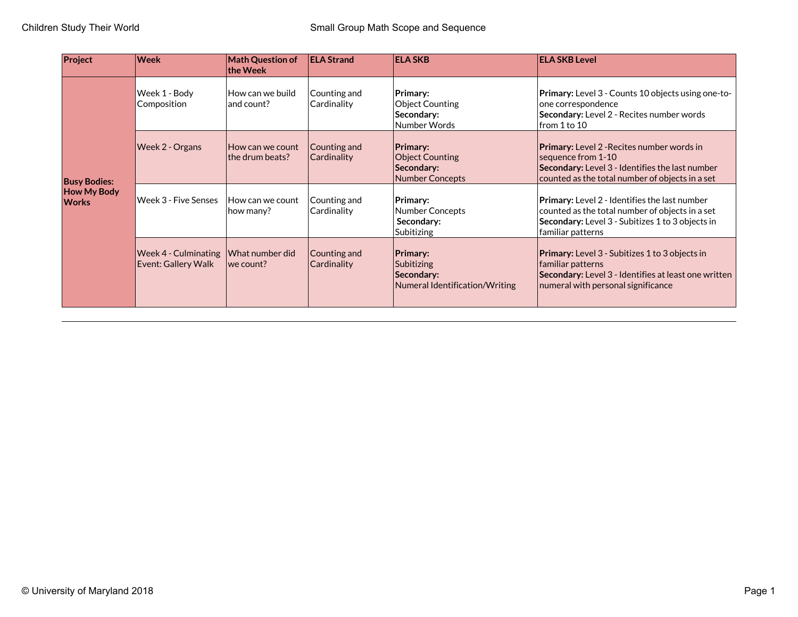| Project                                                   | <b>Week</b>                                 | <b>Math Question of</b><br>the Week | <b>ELA Strand</b>           | <b>ELA SKB</b>                                                                    | <b>ELA SKB Level</b>                                                                                                                                                             |
|-----------------------------------------------------------|---------------------------------------------|-------------------------------------|-----------------------------|-----------------------------------------------------------------------------------|----------------------------------------------------------------------------------------------------------------------------------------------------------------------------------|
| <b>Busy Bodies:</b><br><b>How My Body</b><br><b>Works</b> | Week 1 - Body<br>Composition                | How can we build<br>and count?      | Counting and<br>Cardinality | Primary:<br><b>Object Counting</b><br>Secondary:<br>Number Words                  | <b>Primary:</b> Level 3 - Counts 10 objects using one-to-<br>one correspondence<br>Secondary: Level 2 - Recites number words<br>lfrom 1 to 10                                    |
|                                                           | Week 2 - Organs                             | How can we count<br>the drum beats? | Counting and<br>Cardinality | <b>Primary:</b><br><b>Object Counting</b><br>Secondary:<br><b>Number Concepts</b> | <b>Primary:</b> Level 2 - Recites number words in<br>sequence from 1-10<br>Secondary: Level 3 - Identifies the last number<br>counted as the total number of objects in a set    |
|                                                           | Week 3 - Five Senses                        | How can we count<br>how many?       | Counting and<br>Cardinality | Primary:<br>Number Concepts<br>Secondary:<br>Subitizing                           | <b>Primary:</b> Level 2 - Identifies the last number<br>counted as the total number of objects in a set<br>Secondary: Level 3 - Subitizes 1 to 3 objects in<br>familiar patterns |
|                                                           | Week 4 - Culminating<br>Event: Gallery Walk | What number did<br> we count?       | Counting and<br>Cardinality | <b>Primary:</b><br>Subitizing<br>Secondary:<br>Numeral Identification/Writing     | <b>Primary:</b> Level 3 - Subitizes 1 to 3 objects in<br>familiar patterns<br>Secondary: Level 3 - Identifies at least one written<br>numeral with personal significance         |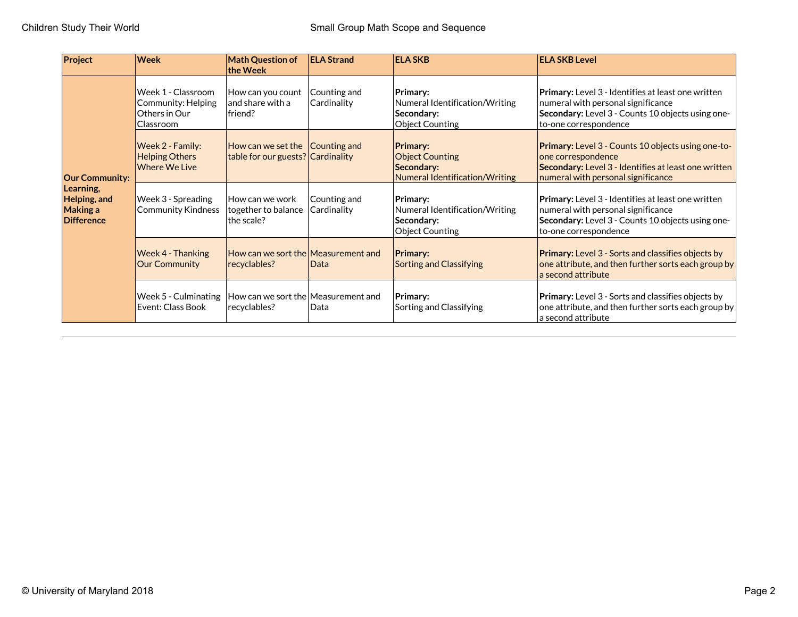| Project                                                                             | <b>Week</b>                                                            | <b>Math Question of</b><br>$ $ the Week                                      | <b>ELA Strand</b>           | <b>ELA SKB</b>                                                                            | <b>ELA SKB Level</b>                                                                                                                                                          |
|-------------------------------------------------------------------------------------|------------------------------------------------------------------------|------------------------------------------------------------------------------|-----------------------------|-------------------------------------------------------------------------------------------|-------------------------------------------------------------------------------------------------------------------------------------------------------------------------------|
| <b>Our Community:</b><br>Learning,<br>Helping, and<br>Making a<br><b>Difference</b> | Week 1 - Classroom<br>Community: Helping<br>Others in Our<br>Classroom | How can you count<br>and share with a<br> friend?                            | Counting and<br>Cardinality | Primary:<br>Numeral Identification/Writing<br>Secondary:<br><b>Object Counting</b>        | <b>Primary:</b> Level 3 - Identifies at least one written<br>numeral with personal significance<br>Secondary: Level 3 - Counts 10 objects using one-<br>to-one correspondence |
|                                                                                     | Week 2 - Family:<br><b>Helping Others</b><br><b>Where We Live</b>      | How can we set the $\vert$ Counting and<br>table for our guests? Cardinality |                             | <b>Primary:</b><br><b>Object Counting</b><br>Secondary:<br>Numeral Identification/Writing | Primary: Level 3 - Counts 10 objects using one-to-<br>one correspondence<br>Secondary: Level 3 - Identifies at least one written<br>numeral with personal significance        |
|                                                                                     | Week 3 - Spreading<br><b>Community Kindness</b>                        | How can we work<br>together to balance<br>the scale?                         | Counting and<br>Cardinality | Primary:<br>Numeral Identification/Writing<br>Secondary:<br><b>Object Counting</b>        | <b>Primary:</b> Level 3 - Identifies at least one written<br>numeral with personal significance<br>Secondary: Level 3 - Counts 10 objects using one-<br>to-one correspondence |
|                                                                                     | <b>Week 4 - Thanking</b><br><b>Our Community</b>                       | How can we sort the Measurement and<br>recyclables?                          | <b>Data</b>                 | <b>Primary:</b><br><b>Sorting and Classifying</b>                                         | Primary: Level 3 - Sorts and classifies objects by<br>one attribute, and then further sorts each group by<br>a second attribute                                               |
|                                                                                     | Week 5 - Culminating<br>Event: Class Book                              | $ $ How can we sort the $ $ Measurement and<br>recyclables?                  | Data                        | Primary:<br>Sorting and Classifying                                                       | <b>Primary:</b> Level 3 - Sorts and classifies objects by<br>one attribute, and then further sorts each group by<br>a second attribute                                        |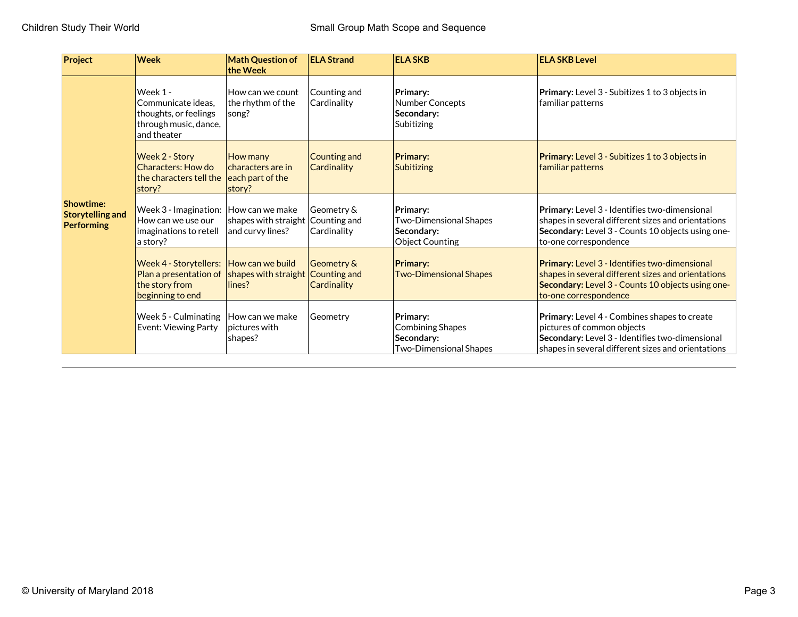| Project                                                          | <b>Week</b>                                                                                     | <b>Math Question of</b><br>the Week                         | <b>ELA Strand</b>                         | <b>ELA SKB</b>                                                              | <b>ELA SKB Level</b>                                                                                                                                                                     |
|------------------------------------------------------------------|-------------------------------------------------------------------------------------------------|-------------------------------------------------------------|-------------------------------------------|-----------------------------------------------------------------------------|------------------------------------------------------------------------------------------------------------------------------------------------------------------------------------------|
|                                                                  | Week 1 -<br>Communicate ideas.<br>thoughts, or feelings<br>through music, dance,<br>and theater | How can we count<br>the rhythm of the<br>song?              | Counting and<br>Cardinality               | Primary:<br>Number Concepts<br>Secondarv:<br>Subitizing                     | <b>Primary:</b> Level 3 - Subitizes 1 to 3 objects in<br> familiar patterns                                                                                                              |
|                                                                  | Week 2 - Story<br>Characters: How do<br>the characters tell the<br>story?                       | How many<br>characters are in<br>each part of the<br>story? | Counting and<br><b>Cardinality</b>        | <b>Primary:</b><br><b>Subitizing</b>                                        | <b>Primary:</b> Level 3 - Subitizes 1 to 3 objects in<br>familiar patterns                                                                                                               |
| <b>Showtime:</b><br><b>Storytelling and</b><br><b>Performing</b> | Week 3 - Imagination:<br>How can we use our<br>imaginations to retell<br>a story?               | How can we make<br>shapes with straight<br>and curvy lines? | Geometry &<br>Counting and<br>Cardinality | Primary:<br><b>Two-Dimensional Shapes</b><br>Secondary:<br>Object Counting  | Primary: Level 3 - Identifies two-dimensional<br>shapes in several different sizes and orientations<br>Secondary: Level 3 - Counts 10 objects using one-<br>to-one correspondence        |
|                                                                  | <b>Week 4 - Storytellers:</b><br>Plan a presentation of<br>the story from<br>beginning to end   | How can we build<br>shapes with straight<br>lines?          | Geometry &<br>Counting and<br>Cardinality | <b>Primary:</b><br><b>Two-Dimensional Shapes</b>                            | <b>Primary:</b> Level 3 - Identifies two-dimensional<br>shapes in several different sizes and orientations<br>Secondary: Level 3 - Counts 10 objects using one-<br>to-one correspondence |
|                                                                  | Week 5 - Culminating<br>Event: Viewing Party                                                    | How can we make<br>pictures with<br>shapes?                 | Geometry                                  | Primary:<br>Combining Shapes<br>Secondary:<br><b>Two-Dimensional Shapes</b> | Primary: Level 4 - Combines shapes to create<br>pictures of common objects<br>Secondary: Level 3 - Identifies two-dimensional<br>shapes in several different sizes and orientations      |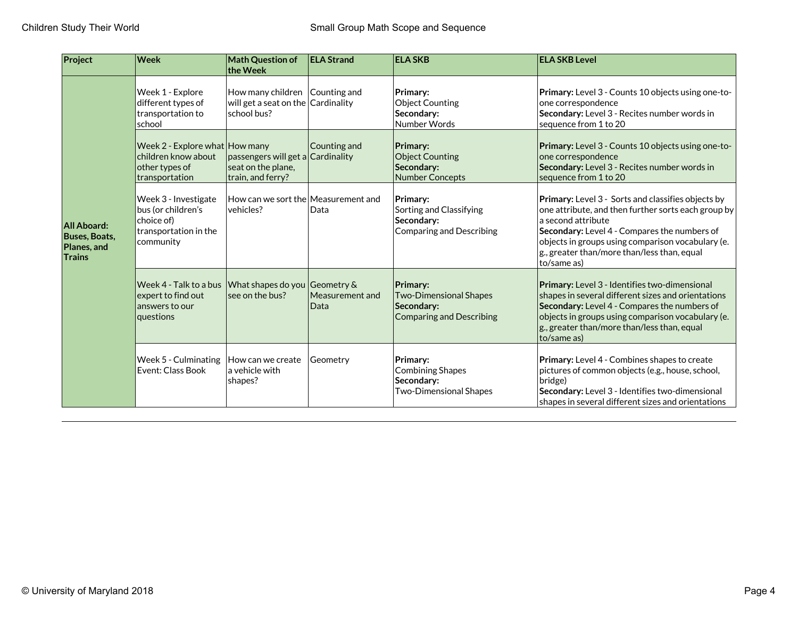| Project                                                      | <b>Week</b>                                                                                    | <b>Math Question of</b><br>the Week                                                  | <b>ELA Strand</b>       | <b>ELA SKB</b>                                                                             | <b>ELA SKB Level</b>                                                                                                                                                                                                                                                                                   |
|--------------------------------------------------------------|------------------------------------------------------------------------------------------------|--------------------------------------------------------------------------------------|-------------------------|--------------------------------------------------------------------------------------------|--------------------------------------------------------------------------------------------------------------------------------------------------------------------------------------------------------------------------------------------------------------------------------------------------------|
|                                                              | Week 1 - Explore<br>different types of<br>transportation to<br>school                          | How many children Counting and<br>will get a seat on the Cardinality<br>school bus?  |                         | Primary:<br><b>Object Counting</b><br>Secondary:<br>Number Words                           | Primary: Level 3 - Counts 10 objects using one-to-<br>one correspondence<br>Secondary: Level 3 - Recites number words in<br>sequence from 1 to 20                                                                                                                                                      |
| All Aboard:<br><b>Buses, Boats,</b><br>Planes, and<br>Trains | Week 2 - Explore what How many<br>children know about<br>other types of<br>transportation      | $ $ passengers will get a $ $ Cardinality<br>seat on the plane,<br>train, and ferry? | Counting and            | Primary:<br><b>Object Counting</b><br>Secondary:<br><b>Number Concepts</b>                 | Primary: Level 3 - Counts 10 objects using one-to-<br>one correspondence<br>Secondary: Level 3 - Recites number words in<br>sequence from 1 to 20                                                                                                                                                      |
|                                                              | Week 3 - Investigate<br>bus (or children's<br>choice of)<br>transportation in the<br>community | $\vert$ How can we sort the $\vert$ Measurement and<br> vehicles?                    | Data                    | Primary:<br>Sorting and Classifying<br>Secondary:<br><b>Comparing and Describing</b>       | Primary: Level 3 - Sorts and classifies objects by<br>one attribute, and then further sorts each group by<br>a second attribute<br>Secondary: Level 4 - Compares the numbers of<br>objects in groups using comparison vocabulary (e.<br>$ $ g., greater than/more than/less than, equal<br>to/same as) |
|                                                              | Week 4 - Talk to a bus<br>expert to find out<br>answers to our<br>questions                    | What shapes do you Geometry &<br>see on the bus?                                     | Measurement and<br>Data | Primary:<br><b>Two-Dimensional Shapes</b><br>Secondary:<br><b>Comparing and Describing</b> | Primary: Level 3 - Identifies two-dimensional<br>shapes in several different sizes and orientations<br>Secondary: Level 4 - Compares the numbers of<br>objects in groups using comparison vocabulary (e.<br>$ $ g., greater than/more than/less than, equal<br>to/same as)                             |
|                                                              | Week 5 - Culminating<br>Event: Class Book                                                      | How can we create<br>la vehicle with<br>shapes?                                      | Geometry                | Primary:<br><b>Combining Shapes</b><br>Secondary:<br><b>Two-Dimensional Shapes</b>         | Primary: Level 4 - Combines shapes to create<br>pictures of common objects (e.g., house, school,<br>bridge)<br>Secondary: Level 3 - Identifies two-dimensional<br>shapes in several different sizes and orientations                                                                                   |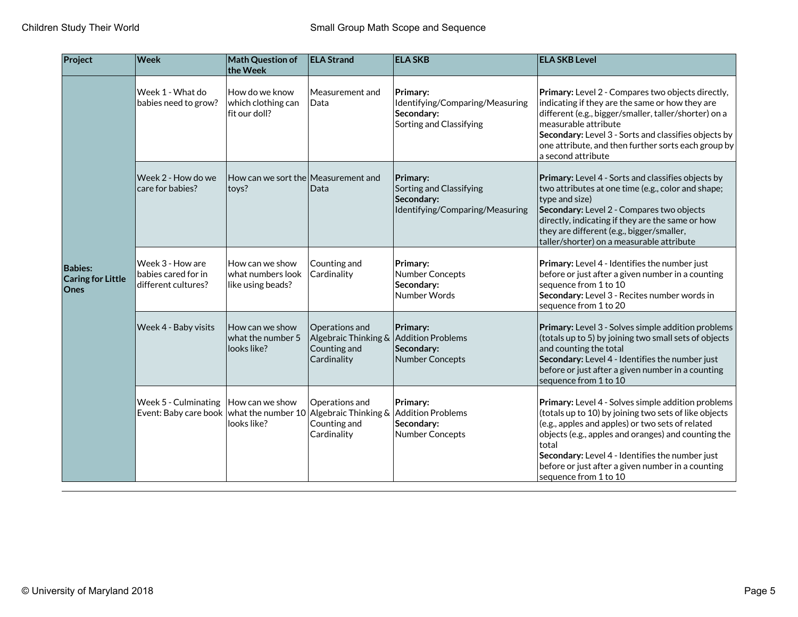| Project                                            | <b>Week</b>                                                        | Math Question of<br>the Week                                 | <b>ELA Strand</b>                                                             | <b>ELA SKB</b>                                                                       | <b>ELA SKB Level</b>                                                                                                                                                                                                                                                                                                                                             |
|----------------------------------------------------|--------------------------------------------------------------------|--------------------------------------------------------------|-------------------------------------------------------------------------------|--------------------------------------------------------------------------------------|------------------------------------------------------------------------------------------------------------------------------------------------------------------------------------------------------------------------------------------------------------------------------------------------------------------------------------------------------------------|
|                                                    | Week 1 - What do<br>babies need to grow?                           | How do we know<br>which clothing can<br>fit our doll?        | $\sf M$ easurement and<br>Data                                                | Primary:<br>Identifying/Comparing/Measuring<br>Secondary:<br>Sorting and Classifying | Primary: Level 2 - Compares two objects directly,<br>indicating if they are the same or how they are<br>different (e.g., bigger/smaller, taller/shorter) on a<br>measurable attribute<br>Secondary: Level 3 - Sorts and classifies objects by<br>one attribute, and then further sorts each group by<br>a second attribute                                       |
|                                                    | Week 2 - How do we<br>care for babies?                             | $\vert$ How can we sort the $\vert$ Measurement and<br>toys? | $\sf D$ ata                                                                   | Primary:<br>Sorting and Classifying<br>Secondary:<br>Identifying/Comparing/Measuring | Primary: Level 4 - Sorts and classifies objects by<br>two attributes at one time (e.g., color and shape;<br>type and size)<br>Secondary: Level 2 - Compares two objects<br>directly, indicating if they are the same or how<br>they are different (e.g., bigger/smaller,<br>taller/shorter) on a measurable attribute                                            |
| <b>Babies:</b><br><b>Caring for Little</b><br>Ones | Week 3 - How are<br>babies cared for in<br>different cultures?     | How can we show<br>what numbers look<br>like using beads?    | Counting and<br>Cardinality                                                   | Primary:<br><b>Number Concepts</b><br>Secondary:<br>Number Words                     | Primary: Level 4 - Identifies the number just<br>before or just after a given number in a counting<br>sequence from 1 to 10<br>Secondary: Level 3 - Recites number words in<br>sequence from 1 to 20                                                                                                                                                             |
|                                                    | Week 4 - Baby visits                                               | How can we show<br>what the number 5<br>looks like?          | $\sf{O}$ perations and<br>Algebraic Thinking &<br>Counting and<br>Cardinality | Primary:<br><b>Addition Problems</b><br>Secondary:<br><b>Number Concepts</b>         | Primary: Level 3 - Solves simple addition problems<br>(totals up to 5) by joining two small sets of objects<br>and counting the total<br>Secondary: Level 4 - Identifies the number just<br>before or just after a given number in a counting<br>sequence from 1 to 10                                                                                           |
|                                                    | Week 5 - Culminating<br>Event: Baby care book   what the number 10 | How can we show<br>looks like?                               | Operations and<br>Algebraic Thinking &<br>Counting and<br>Cardinality         | Primary:<br><b>Addition Problems</b><br>Secondary:<br><b>Number Concepts</b>         | Primary: Level 4 - Solves simple addition problems<br>(totals up to 10) by joining two sets of like objects<br>(e.g., apples and apples) or two sets of related<br>objects (e.g., apples and oranges) and counting the<br>total<br>Secondary: Level 4 - Identifies the number just<br>before or just after a given number in a counting<br>sequence from 1 to 10 |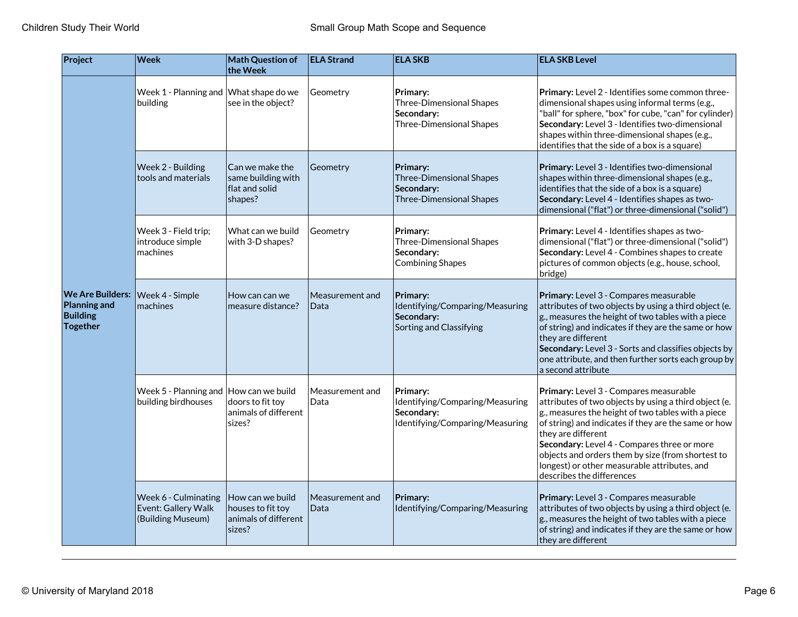| Project                                                                | <b>Week</b>                                                       | Math Question of<br>the Week                                            | <b>ELA Strand</b>              | <b>ELA SKB</b>                                                                               | <b>ELA SKB Level</b>                                                                                                                                                                                                                                                                                                                                                                                                 |
|------------------------------------------------------------------------|-------------------------------------------------------------------|-------------------------------------------------------------------------|--------------------------------|----------------------------------------------------------------------------------------------|----------------------------------------------------------------------------------------------------------------------------------------------------------------------------------------------------------------------------------------------------------------------------------------------------------------------------------------------------------------------------------------------------------------------|
|                                                                        | Week 1 - Planning and What shape do we<br>building                | see in the object?                                                      | Geometry                       | Primary:<br><b>Three-Dimensional Shapes</b><br>Secondary:<br><b>Three-Dimensional Shapes</b> | Primary: Level 2 - Identifies some common three-<br>dimensional shapes using informal terms (e.g.,<br>"ball" for sphere, "box" for cube, "can" for cylinder)<br>Secondary: Level 3 - Identifies two-dimensional<br>shapes within three-dimensional shapes (e.g.,<br>identifies that the side of a box is a square)                                                                                                   |
|                                                                        | Week 2 - Building<br>tools and materials                          | Can we make the<br>same building with<br>flat and solid<br>shapes?      | Geometry                       | Primary:<br><b>Three-Dimensional Shapes</b><br>Secondary:<br><b>Three-Dimensional Shapes</b> | Primary: Level 3 - Identifies two-dimensional<br>shapes within three-dimensional shapes (e.g.,<br>identifies that the side of a box is a square)<br>Secondary: Level 4 - Identifies shapes as two-<br>dimensional ("flat") or three-dimensional ("solid")                                                                                                                                                            |
|                                                                        | Week 3 - Field trip;<br>introduce simple<br>machines              | What can we build<br>with 3-D shapes?                                   | Geometry                       | Primary:<br><b>Three-Dimensional Shapes</b><br>Secondary:<br><b>Combining Shapes</b>         | Primary: Level 4 - Identifies shapes as two-<br>dimensional ("flat") or three-dimensional ("solid")<br>Secondary: Level 4 - Combines shapes to create<br>pictures of common objects (e.g., house, school,<br>bridge)                                                                                                                                                                                                 |
| <b>We Are Builders:</b><br>Planning and<br><b>Building</b><br>Together | Week 4 - Simple<br>machines                                       | How can can we<br>measure distance?                                     | Measurement and<br>Data        | Primary:<br>Identifying/Comparing/Measuring<br>Secondary:<br>Sorting and Classifying         | Primary: Level 3 - Compares measurable<br>attributes of two objects by using a third object (e.<br>g., measures the height of two tables with a piece<br>of string) and indicates if they are the same or how<br>they are different<br>Secondary: Level 3 - Sorts and classifies objects by<br>one attribute, and then further sorts each group by<br>a second attribute                                             |
|                                                                        | Week 5 - Planning and $ $ How can we build<br>building birdhouses | doors to fit toy<br>animals of different<br>sizes?                      | Measurement and<br>Data        | Primary:<br>Identifying/Comparing/Measuring<br>Secondary:<br>Identifying/Comparing/Measuring | Primary: Level 3 - Compares measurable<br>attributes of two objects by using a third object (e.<br>g., measures the height of two tables with a piece<br>of string) and indicates if they are the same or how<br>they are different<br>Secondary: Level 4 - Compares three or more<br>objects and orders them by size (from shortest to<br>longest) or other measurable attributes, and<br>describes the differences |
|                                                                        | Week 6 - Culminating<br>Event: Gallery Walk<br>(Building Museum)  | How can we build<br>houses to fit toy<br>animals of different<br>sizes? | $\sf M$ easurement and<br>Data | Primary:<br>Identifying/Comparing/Measuring                                                  | Primary: Level 3 - Compares measurable<br>attributes of two objects by using a third object (e.<br>g., measures the height of two tables with a piece<br>of string) and indicates if they are the same or how<br>they are different                                                                                                                                                                                  |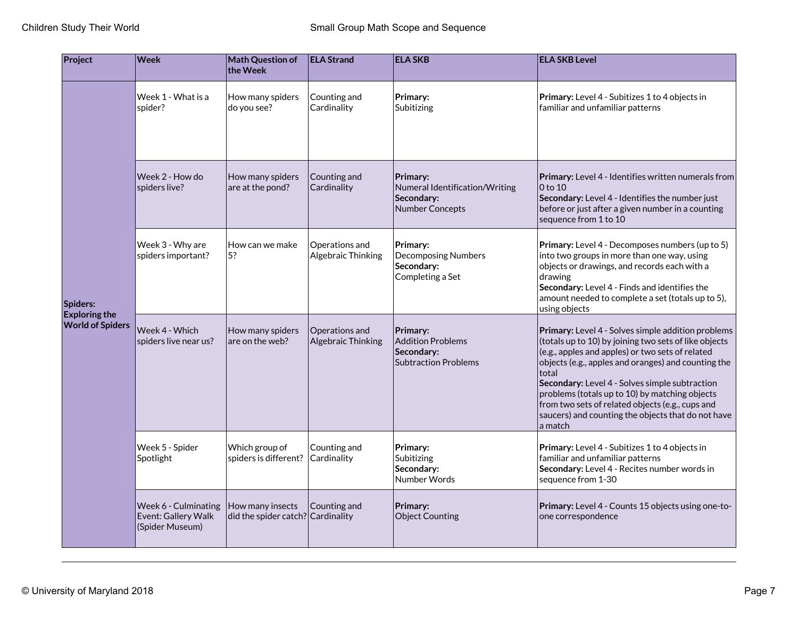| Project                                                     | <b>Week</b>                                                    | <b>Math Question of</b><br>the Week                   | <b>ELA Strand</b>                    | <b>ELA SKB</b>                                                                     | <b>ELA SKB Level</b>                                                                                                                                                                                                                                                                                                                                                                                                                                     |
|-------------------------------------------------------------|----------------------------------------------------------------|-------------------------------------------------------|--------------------------------------|------------------------------------------------------------------------------------|----------------------------------------------------------------------------------------------------------------------------------------------------------------------------------------------------------------------------------------------------------------------------------------------------------------------------------------------------------------------------------------------------------------------------------------------------------|
| Spiders:<br><b>Exploring the</b><br><b>World of Spiders</b> | Week 1 - What is a<br>spider?                                  | How many spiders<br>do you see?                       | Counting and<br>Cardinality          | Primary:<br>Subitizing                                                             | Primary: Level 4 - Subitizes 1 to 4 objects in<br>familiar and unfamiliar patterns                                                                                                                                                                                                                                                                                                                                                                       |
|                                                             | Week 2 - How do<br>spiders live?                               | How many spiders<br>are at the pond?                  | Counting and<br>Cardinality          | Primary:<br>Numeral Identification/Writing<br>Secondary:<br><b>Number Concepts</b> | <b>Primary:</b> Level 4 - Identifies written numerals from<br>0 to 10<br>Secondary: Level 4 - Identifies the number just<br>before or just after a given number in a counting<br>sequence from 1 to 10                                                                                                                                                                                                                                                   |
|                                                             | Week 3 - Why are<br>spiders important?                         | How can we make<br>5?                                 | Operations and<br>Algebraic Thinking | Primary:<br><b>Decomposing Numbers</b><br>Secondary:<br>Completing a Set           | <b>Primary:</b> Level 4 - Decomposes numbers (up to 5)<br>into two groups in more than one way, using<br>objects or drawings, and records each with a<br>drawing<br>Secondary: Level 4 - Finds and identifies the<br>amount needed to complete a set (totals up to 5),<br>using objects                                                                                                                                                                  |
|                                                             | Week 4 - Which<br>spiders live near us?                        | How many spiders<br>are on the web?                   | Operations and<br>Algebraic Thinking | Primary:<br><b>Addition Problems</b><br>Secondary:<br><b>Subtraction Problems</b>  | Primary: Level 4 - Solves simple addition problems<br>(totals up to 10) by joining two sets of like objects<br>(e.g., apples and apples) or two sets of related<br>objects (e.g., apples and oranges) and counting the<br>total<br>Secondary: Level 4 - Solves simple subtraction<br>problems (totals up to 10) by matching objects<br>from two sets of related objects (e.g., cups and<br>saucers) and counting the objects that do not have<br>a match |
|                                                             | Week 5 - Spider<br>Spotlight                                   | Which group of<br>spiders is different?               | Counting and<br>Cardinality          | Primary:<br>Subitizing<br>Secondary:<br>Number Words                               | Primary: Level 4 - Subitizes 1 to 4 objects in<br>familiar and unfamiliar patterns<br>Secondary: Level 4 - Recites number words in<br>sequence from 1-30                                                                                                                                                                                                                                                                                                 |
|                                                             | Week 6 - Culminating<br>Event: Gallery Walk<br>(Spider Museum) | How many insects<br>did the spider catch? Cardinality | Counting and                         | Primary:<br><b>Object Counting</b>                                                 | Primary: Level 4 - Counts 15 objects using one-to-<br>one correspondence                                                                                                                                                                                                                                                                                                                                                                                 |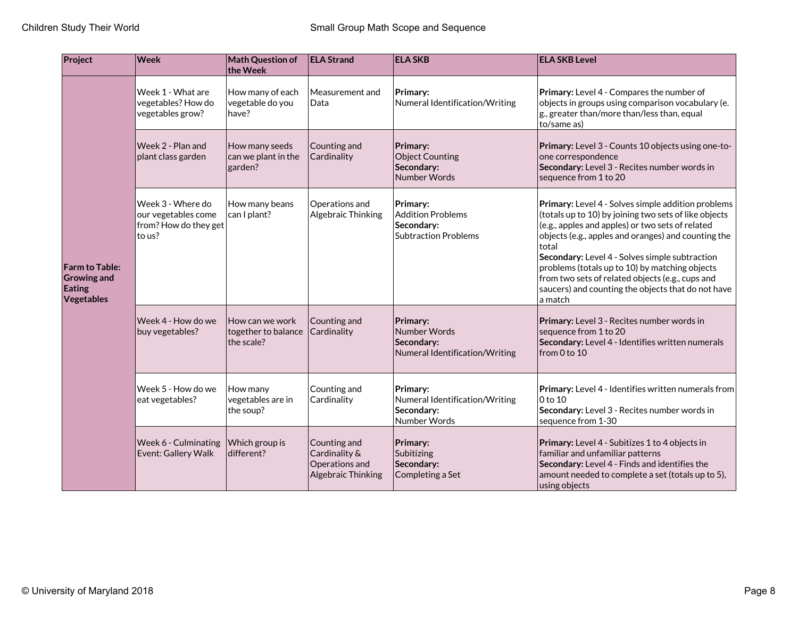| Project                                                             | Week                                                                        | Math Question of<br>the Week                         | <b>ELA Strand</b>                                                     | <b>ELA SKB</b>                                                                    | <b>ELA SKB Level</b>                                                                                                                                                                                                                                                                                                                                                                                                                                     |
|---------------------------------------------------------------------|-----------------------------------------------------------------------------|------------------------------------------------------|-----------------------------------------------------------------------|-----------------------------------------------------------------------------------|----------------------------------------------------------------------------------------------------------------------------------------------------------------------------------------------------------------------------------------------------------------------------------------------------------------------------------------------------------------------------------------------------------------------------------------------------------|
|                                                                     | Week 1 - What are<br>vegetables? How do<br>vegetables grow?                 | How many of each<br>vegetable do you<br>have?        | Measurement and<br>Data                                               | Primary:<br>Numeral Identification/Writing                                        | Primary: Level 4 - Compares the number of<br>objects in groups using comparison vocabulary (e.<br>g., greater than/more than/less than, equal<br>to/same as)                                                                                                                                                                                                                                                                                             |
| <b>Farm to Table:</b><br><b>Growing and</b><br>Eating<br>Vegetables | Week 2 - Plan and<br>plant class garden                                     | How many seeds<br>can we plant in the<br>garden?     | Counting and<br>Cardinality                                           | Primary:<br><b>Object Counting</b><br>Secondary:<br>Number Words                  | Primary: Level 3 - Counts 10 objects using one-to-<br>one correspondence<br>Secondary: Level 3 - Recites number words in<br>sequence from 1 to 20                                                                                                                                                                                                                                                                                                        |
|                                                                     | Week 3 - Where do<br>our vegetables come<br>from? How do they get<br>to us? | How many beans<br>can I plant?                       | Operations and<br>Algebraic Thinking                                  | Primary:<br><b>Addition Problems</b><br>Secondary:<br><b>Subtraction Problems</b> | Primary: Level 4 - Solves simple addition problems<br>(totals up to 10) by joining two sets of like objects<br>(e.g., apples and apples) or two sets of related<br>objects (e.g., apples and oranges) and counting the<br>total<br>Secondary: Level 4 - Solves simple subtraction<br>problems (totals up to 10) by matching objects<br>from two sets of related objects (e.g., cups and<br>saucers) and counting the objects that do not have<br>a match |
|                                                                     | Week 4 - How do we<br>buy vegetables?                                       | How can we work<br>together to balance<br>the scale? | Counting and<br>Cardinality                                           | Primary:<br>Number Words<br>Secondary:<br>Numeral Identification/Writing          | Primary: Level 3 - Recites number words in<br>sequence from 1 to 20<br>Secondary: Level 4 - Identifies written numerals<br>from 0 to 10                                                                                                                                                                                                                                                                                                                  |
|                                                                     | Week 5 - How do we<br>eat vegetables?                                       | How many<br>vegetables are in<br>the soup?           | Counting and<br>Cardinality                                           | Primary:<br>Numeral Identification/Writing<br>Secondary:<br>Number Words          | Primary: Level 4 - Identifies written numerals from<br>0 to 10<br>Secondary: Level 3 - Recites number words in<br>sequence from 1-30                                                                                                                                                                                                                                                                                                                     |
|                                                                     | Week 6 - Culminating<br>Event: Gallery Walk                                 | Which group is<br>different?                         | Counting and<br>Cardinality &<br>Operations and<br>Algebraic Thinking | Primary:<br>Subitizing<br>Secondary:<br>Completing a Set                          | Primary: Level 4 - Subitizes 1 to 4 objects in<br>familiar and unfamiliar patterns<br>Secondary: Level 4 - Finds and identifies the<br>amount needed to complete a set (totals up to 5),<br>using objects                                                                                                                                                                                                                                                |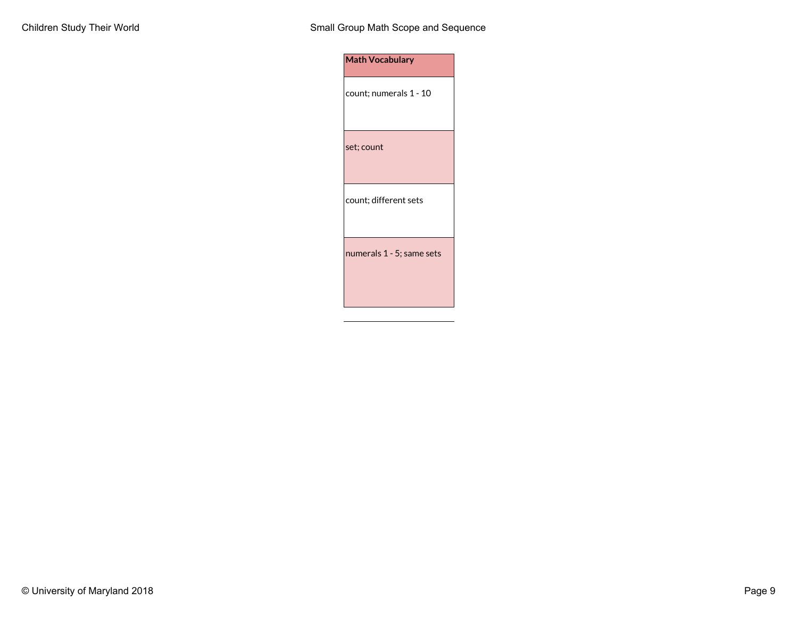| <b>Math Vocabulary</b>    |
|---------------------------|
| count; numerals 1 - 10    |
| set; count                |
| count; different sets     |
| numerals 1 - 5; same sets |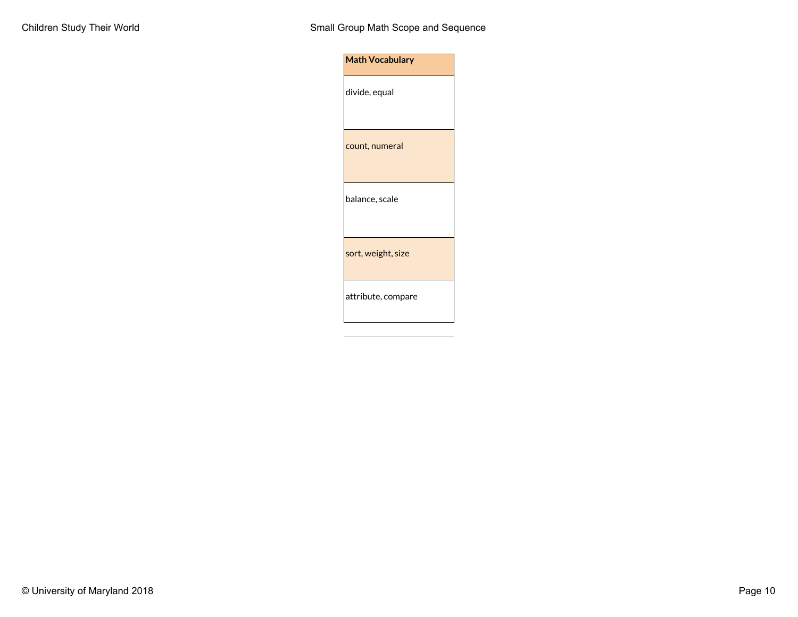| divide, equal<br>count, numeral<br>balance, scale<br>sort, weight, size<br>attribute, compare | <b>Math Vocabulary</b> |
|-----------------------------------------------------------------------------------------------|------------------------|
|                                                                                               |                        |
|                                                                                               |                        |
|                                                                                               |                        |
|                                                                                               |                        |
|                                                                                               |                        |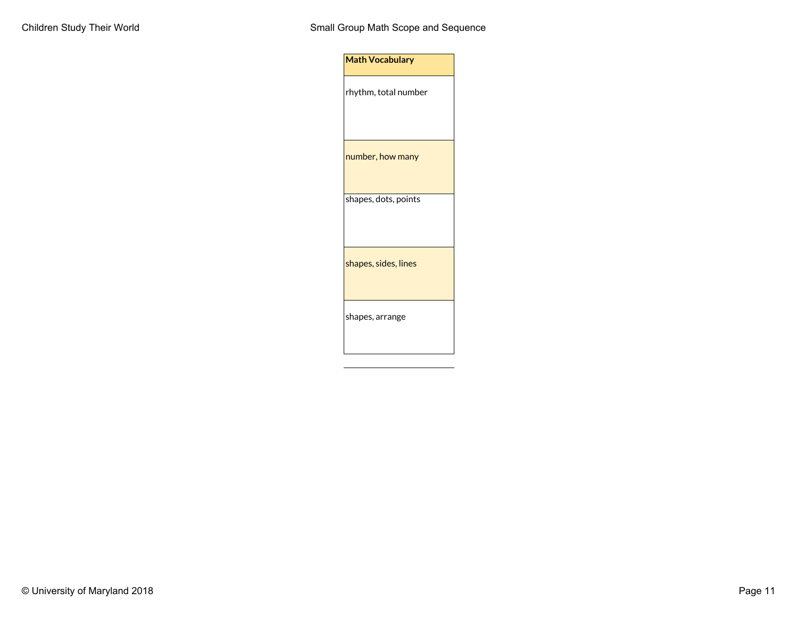| <b>Math Vocabulary</b> |  |
|------------------------|--|
| rhythm, total number   |  |
| number, how many       |  |
| shapes, dots, points   |  |
| shapes, sides, lines   |  |
| shapes, arrange        |  |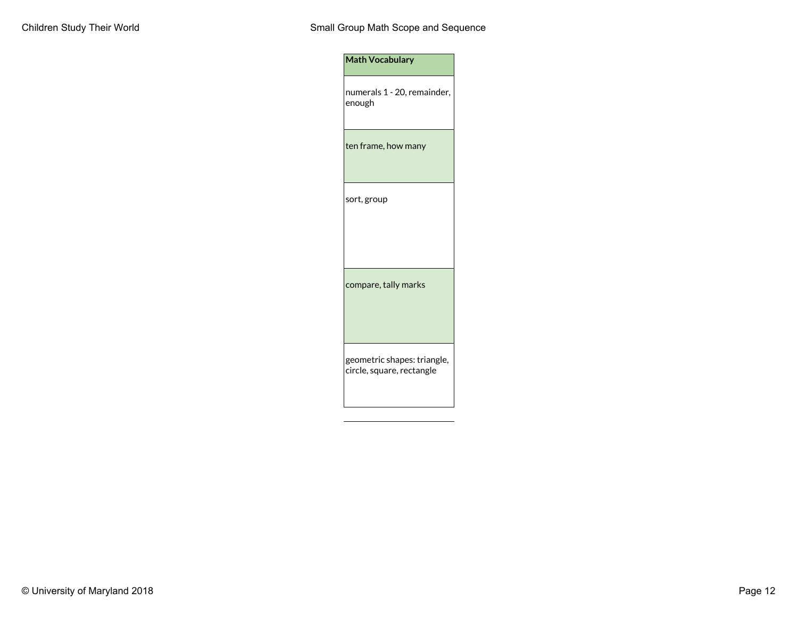| <b>Math Vocabulary</b>                                   |
|----------------------------------------------------------|
| numerals 1 - 20, remainder,<br>enough                    |
| ten frame, how many                                      |
| sort, group                                              |
| compare, tally marks                                     |
| geometric shapes: triangle,<br>circle, square, rectangle |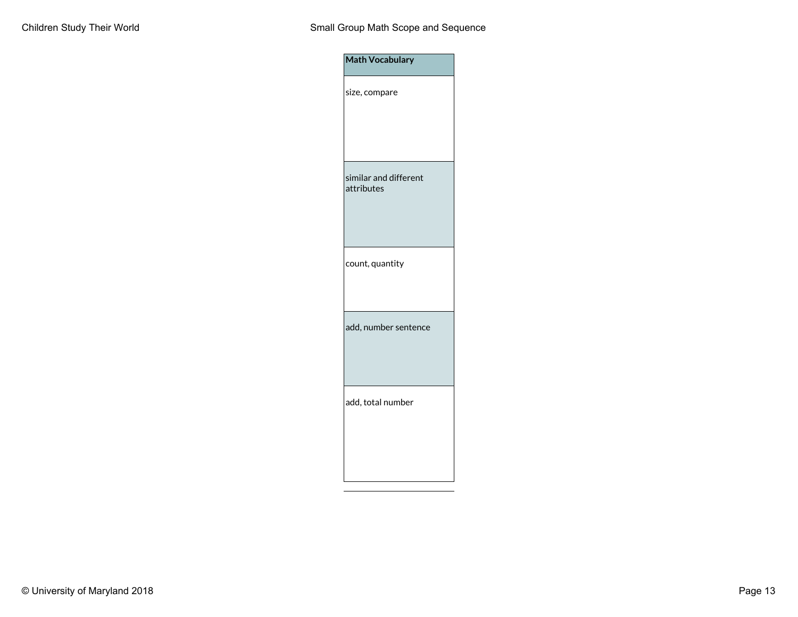| Math Vocabulary                     |
|-------------------------------------|
| size, compare                       |
| similar and different<br>attributes |
| count, quantity                     |
| add, number sentence                |
| add, total number                   |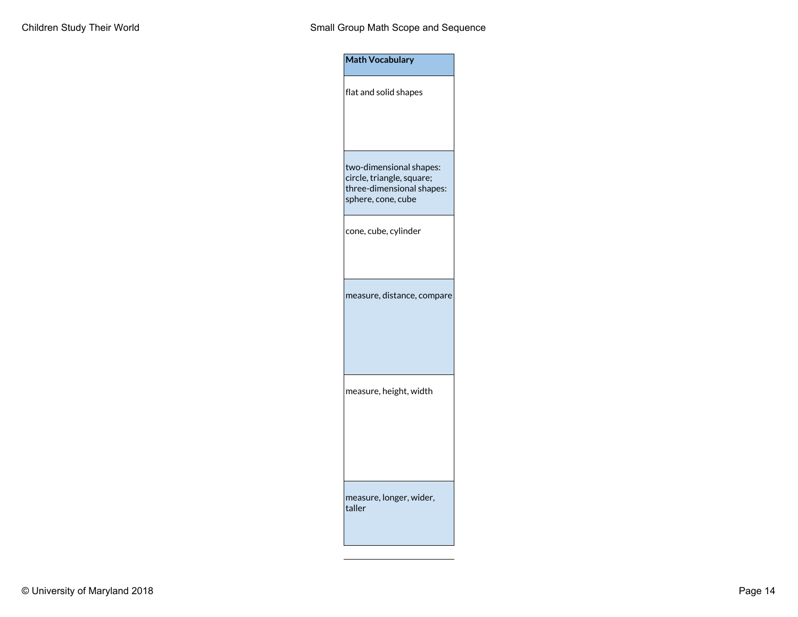| <b>Math Vocabulary</b>                                                                                  |
|---------------------------------------------------------------------------------------------------------|
| flat and solid shapes                                                                                   |
| two-dimensional shapes:<br>circle, triangle, square;<br>three-dimensional shapes:<br>sphere, cone, cube |
| cone, cube, cylinder                                                                                    |
| measure, distance, compare                                                                              |
| measure, height, width                                                                                  |
| measure, longer, wider,<br>taller                                                                       |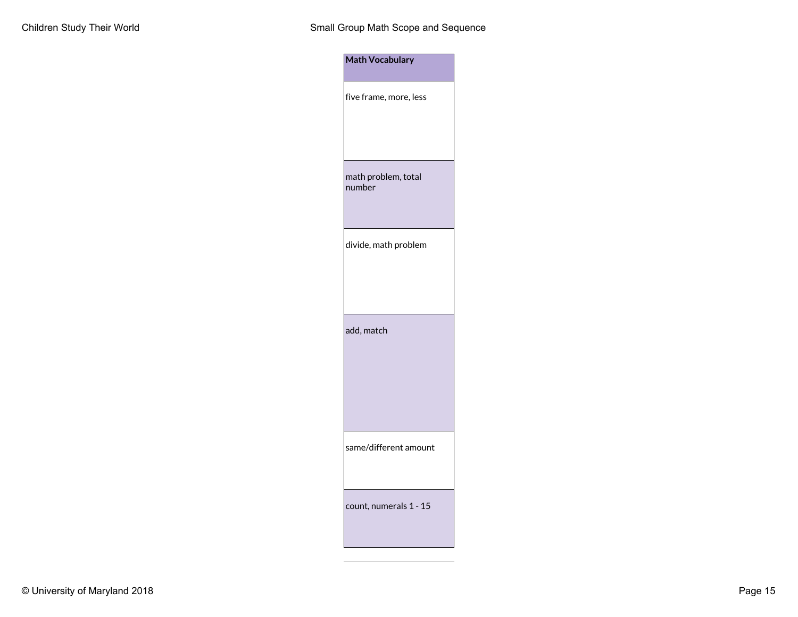| <b>Math Vocabulary</b>        |  |
|-------------------------------|--|
| five frame, more, less        |  |
| math problem, total<br>number |  |
| divide, math problem          |  |
| add, match                    |  |
| same/different amount         |  |
| count, numerals 1 - 15        |  |